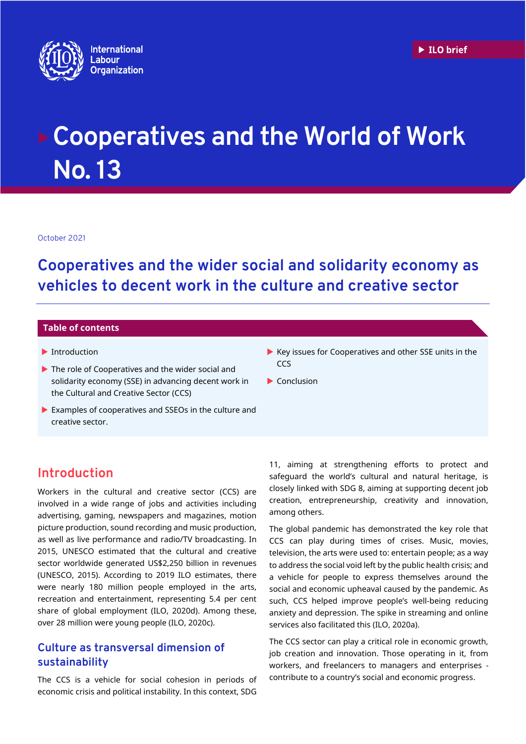

# **Cooperatives and the World of Work No. 13**

October 2021

**Cooperatives and the wider social and solidarity economy as vehicles to decent work in the culture and creative sector**

### **Table of contents**

- **Introduction**
- ▶ The role of Cooperatives and the wider social and solidarity economy (SSE) in advancing decent work in the Cultural and Creative Sector (CCS)
- Examples of cooperatives and SSEOs in the culture and creative sector.
- **Introduction**

Workers in the cultural and creative sector (CCS) are involved in a wide range of jobs and activities including advertising, gaming, newspapers and magazines, motion picture production, sound recording and music production, as well as live performance and radio/TV broadcasting. In 2015, UNESCO estimated that the cultural and creative sector worldwide generated US\$2,250 billion in revenues (UNESCO, 2015). According to 2019 ILO estimates, there were nearly 180 million people employed in the arts, recreation and entertainment, representing 5.4 per cent share of global employment (ILO, 2020d). Among these, over 28 million were young people (ILO, 2020c).

## **Culture as transversal dimension of sustainability**

The CCS is a vehicle for social cohesion in periods of economic crisis and political instability. In this context, SDG

- $\blacktriangleright$  Key issues for Cooperatives and other SSE units in the **CCS**
- $\blacktriangleright$  Conclusion

11, aiming at strengthening efforts to protect and safeguard the world's cultural and natural heritage, is closely linked with SDG 8, aiming at supporting decent job creation, entrepreneurship, creativity and innovation, among others.

The global pandemic has demonstrated the key role that CCS can play during times of crises. Music, movies, television, the arts were used to: entertain people; as a way to address the social void left by the public health crisis; and a vehicle for people to express themselves around the social and economic upheaval caused by the pandemic. As such, CCS helped improve people's well-being reducing anxiety and depression. The spike in streaming and online services also facilitated this (ILO, 2020a).

The CCS sector can play a critical role in economic growth, job creation and innovation. Those operating in it, from workers, and freelancers to managers and enterprises contribute to a country's social and economic progress.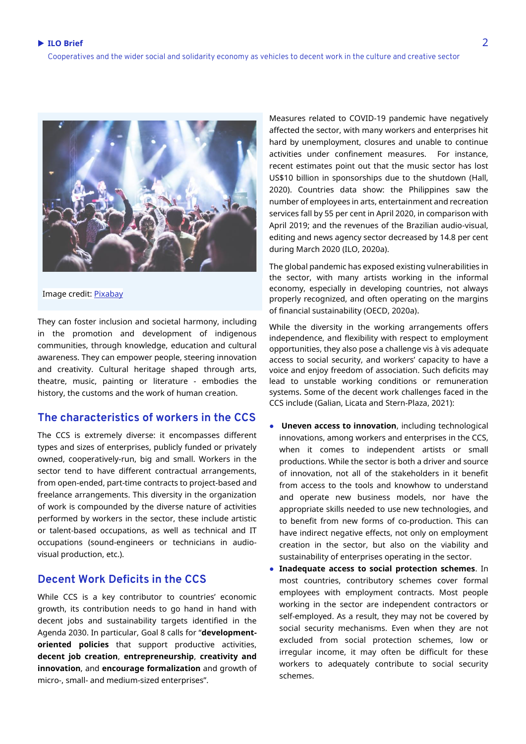

#### Image credit[: Pixabay](https://eur01.safelinks.protection.outlook.com/?url=https%3A%2F%2Fpixabay.com%2F&data=04%7C01%7Cbvumbe%40ilo.org%7C328165b0ac1d4e4bb39e08d98d95058d%7Cd49b07ca23024e7cb2cbe12127852850%7C0%7C0%7C637696493749492191%7CUnknown%7CTWFpbGZsb3d8eyJWIjoiMC4wLjAwMDAiLCJQIjoiV2luMzIiLCJBTiI6Ik1haWwiLCJXVCI6Mn0%3D%7C1000&sdata=scviZkoAnqg9LF4qW6EtJ4ffYfdgofXuCqck2JtFRSM%3D&reserved=0)

They can foster inclusion and societal harmony, including in the promotion and development of indigenous communities, through knowledge, education and cultural awareness. They can empower people, steering innovation and creativity. Cultural heritage shaped through arts, theatre, music, painting or literature - embodies the history, the customs and the work of human creation.

## **The characteristics of workers in the CCS**

The CCS is extremely diverse: it encompasses different types and sizes of enterprises, publicly funded or privately owned, cooperatively-run, big and small. Workers in the sector tend to have different contractual arrangements, from open-ended, part-time contracts to project-based and freelance arrangements. This diversity in the organization of work is compounded by the diverse nature of activities performed by workers in the sector, these include artistic or talent-based occupations, as well as technical and IT occupations (sound-engineers or technicians in audiovisual production, etc.).

## **Decent Work Deficits in the CCS**

While CCS is a key contributor to countries' economic growth, its contribution needs to go hand in hand with decent jobs and sustainability targets identified in the Agenda 2030. In particular, Goal 8 calls for "**developmentoriented policies** that support productive activities, **decent job creation**, **entrepreneurship**, **creativity and innovation**, and **encourage formalization** and growth of micro-, small- and medium-sized enterprises".

Measures related to COVID-19 pandemic have negatively affected the sector, with many workers and enterprises hit hard by unemployment, closures and unable to continue activities under confinement measures. For instance, recent estimates point out that the music sector has lost US\$10 billion in sponsorships due to the shutdown (Hall, 2020). Countries data show: the Philippines saw the number of employees in arts, entertainment and recreation services fall by 55 per cent in April 2020, in comparison with April 2019; and the revenues of the Brazilian audio-visual, editing and news agency sector decreased by 14.8 per cent during March 2020 (ILO, 2020a).

The global pandemic has exposed existing vulnerabilities in the sector, with many artists working in the informal economy, especially in developing countries, not always properly recognized, and often operating on the margins of financial sustainability (OECD, 2020a).

While the diversity in the working arrangements offers independence, and flexibility with respect to employment opportunities, they also pose a challenge vis à vis adequate access to social security, and workers' capacity to have a voice and enjoy freedom of association. Such deficits may lead to unstable working conditions or remuneration systems. Some of the decent work challenges faced in the CCS include (Galian, Licata and Stern-Plaza, 2021):

- **Uneven access to innovation**, including technological innovations, among workers and enterprises in the CCS, when it comes to independent artists or small productions. While the sector is both a driver and source of innovation, not all of the stakeholders in it benefit from access to the tools and knowhow to understand and operate new business models, nor have the appropriate skills needed to use new technologies, and to benefit from new forms of co-production. This can have indirect negative effects, not only on employment creation in the sector, but also on the viability and sustainability of enterprises operating in the sector.
- **Inadequate access to social protection schemes**. In most countries, contributory schemes cover formal employees with employment contracts. Most people working in the sector are independent contractors or self-employed. As a result, they may not be covered by social security mechanisms. Even when they are not excluded from social protection schemes, low or irregular income, it may often be difficult for these workers to adequately contribute to social security schemes.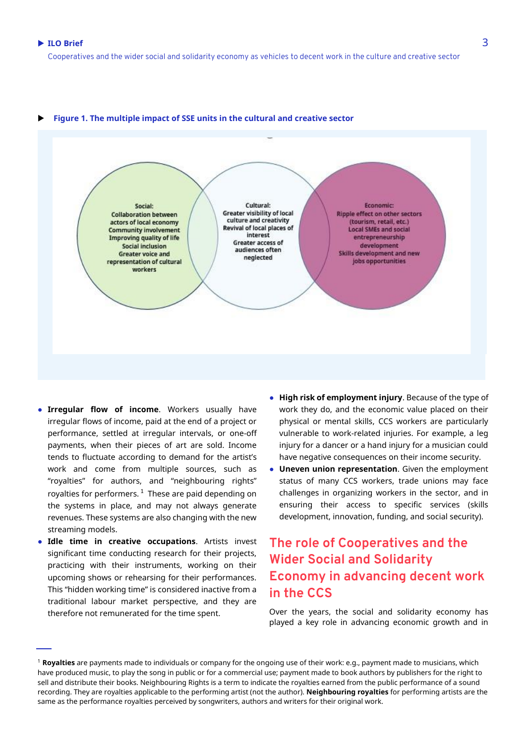#### **Figure 1. The multiple impact of SSE units in the cultural and creative sector**



- **Irregular flow of income**. Workers usually have irregular flows of income, paid at the end of a project or performance, settled at irregular intervals, or one-off payments, when their pieces of art are sold. Income tends to fluctuate according to demand for the artist's work and come from multiple sources, such as "royalties" for authors, and "neighbouring rights" royalties for performers.  $^1$  These are paid depending on the systems in place, and may not always generate revenues. These systems are also changing with the new streaming models.
- **Idle time in creative occupations**. Artists invest significant time conducting research for their projects, practicing with their instruments, working on their upcoming shows or rehearsing for their performances. This "hidden working time" is considered inactive from a traditional labour market perspective, and they are therefore not remunerated for the time spent.
- **High risk of employment injury**. Because of the type of work they do, and the economic value placed on their physical or mental skills, CCS workers are particularly vulnerable to work-related injuries. For example, a leg injury for a dancer or a hand injury for a musician could have negative consequences on their income security.
- **Uneven union representation**. Given the employment status of many CCS workers, trade unions may face challenges in organizing workers in the sector, and in ensuring their access to specific services (skills development, innovation, funding, and social security).

# **The role of Cooperatives and the Wider Social and Solidarity Economy in advancing decent work in the CCS**

Over the years, the social and solidarity economy has played a key role in advancing economic growth and in

<sup>1</sup> **Royalties** are payments made to individuals or company for the ongoing use of their work: e.g., payment made to musicians, which have produced music, to play the song in public or for a commercial use; payment made to book authors by publishers for the right to sell and distribute their books. Neighbouring Rights is a term to indicate the royalties earned from the public performance of a sound recording. They are royalties applicable to the performing artist (not the author). **Neighbouring royalties** for performing artists are the same as the performance royalties perceived by songwriters, authors and writers for their original work.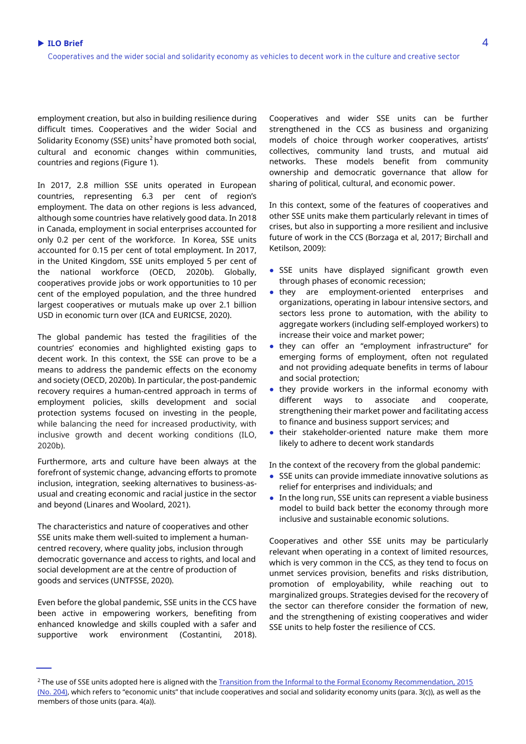employment creation, but also in building resilience during difficult times. Cooperatives and the wider Social and Solidarity Economy (SSE) units<sup>2</sup> have promoted both social, cultural and economic changes within communities, countries and regions (Figure 1).

In 2017, 2.8 million SSE units operated in European countries, representing 6.3 per cent of region's employment. The data on other regions is less advanced, although some countries have relatively good data. In 2018 in Canada, employment in social enterprises accounted for only 0.2 per cent of the workforce. In Korea, SSE units accounted for 0.15 per cent of total employment. In 2017, in the United Kingdom, SSE units employed 5 per cent of the national workforce (OECD, 2020b). Globally, cooperatives provide jobs or work opportunities to 10 per cent of the employed population, and the three hundred largest cooperatives or mutuals make up over 2.1 billion USD in economic turn over (ICA and EURICSE, 2020).

The global pandemic has tested the fragilities of the countries' economies and highlighted existing gaps to decent work. In this context, the SSE can prove to be a means to address the pandemic effects on the economy and society (OECD, 2020b). In particular, the post-pandemic recovery requires a human-centred approach in terms of employment policies, skills development and social protection systems focused on investing in the people, while balancing the need for increased productivity, with inclusive growth and decent working conditions (ILO, 2020b).

Furthermore, arts and culture have been always at the forefront of systemic change, advancing efforts to promote inclusion, integration, seeking alternatives to business-asusual and creating economic and racial justice in the sector and beyond (Linares and Woolard, 2021).

The characteristics and nature of cooperatives and other SSE units make them well-suited to implement a humancentred recovery, where quality jobs, inclusion through democratic governance and access to rights, and local and social development are at the centre of production of goods and services (UNTFSSE, 2020).

Even before the global pandemic, SSE units in the CCS have been active in empowering workers, benefiting from enhanced knowledge and skills coupled with a safer and supportive work environment (Costantini, 2018).

Cooperatives and wider SSE units can be further strengthened in the CCS as business and organizing models of choice through worker cooperatives, artists' collectives, community land trusts, and mutual aid networks. These models benefit from community ownership and democratic governance that allow for sharing of political, cultural, and economic power.

In this context, some of the features of cooperatives and other SSE units make them particularly relevant in times of crises, but also in supporting a more resilient and inclusive future of work in the CCS (Borzaga et al, 2017; Birchall and Ketilson, 2009):

- SSE units have displayed significant growth even through phases of economic recession;
- they are employment-oriented enterprises and organizations, operating in labour intensive sectors, and sectors less prone to automation, with the ability to aggregate workers (including self-employed workers) to increase their voice and market power;
- they can offer an "employment infrastructure" for emerging forms of employment, often not regulated and not providing adequate benefits in terms of labour and social protection;
- they provide workers in the informal economy with different ways to associate and cooperate, strengthening their market power and facilitating access to finance and business support services; and
- their stakeholder-oriented nature make them more likely to adhere to decent work standards

In the context of the recovery from the global pandemic:

- SSE units can provide immediate innovative solutions as relief for enterprises and individuals; and
- In the long run, SSE units can represent a viable business model to build back better the economy through more inclusive and sustainable economic solutions.

Cooperatives and other SSE units may be particularly relevant when operating in a context of limited resources, which is very common in the CCS, as they tend to focus on unmet services provision, benefits and risks distribution, promotion of employability, while reaching out to marginalized groups. Strategies devised for the recovery of the sector can therefore consider the formation of new, and the strengthening of existing cooperatives and wider SSE units to help foster the resilience of CCS.

<sup>&</sup>lt;sup>2</sup> The use of SSE units adopted here is aligned with the Transition from the Informal to the Formal Economy Recommendation, 2015 [\(No. 204\),](https://www.ilo.org/dyn/normlex/en/f?p=1000:12100:0::NO::P12100_INSTRUMENT_ID,P12100_LANG_CODE:3243110,en:NO) which refers to "economic units" that include cooperatives and social and solidarity economy units (para. 3(c)), as well as the members of those units (para. 4(a)).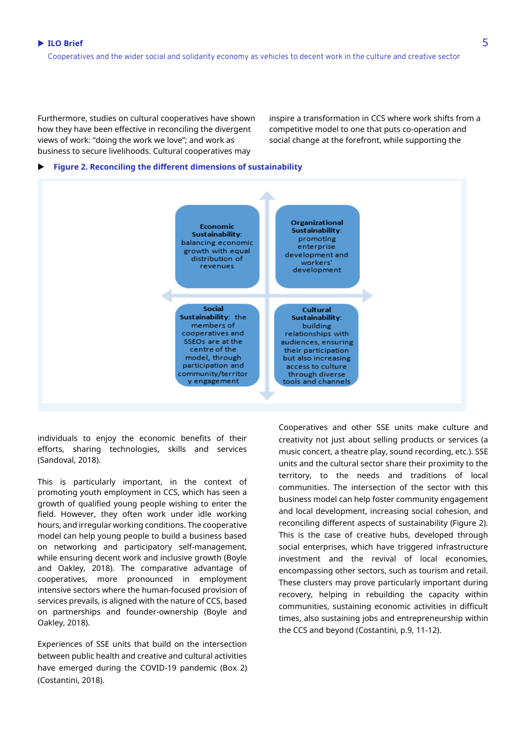Furthermore, studies on cultural cooperatives have shown how they have been effective in reconciling the divergent views of work: "doing the work we love"; and work as business to secure livelihoods. Cultural cooperatives may

inspire a transformation in CCS where work shifts from a competitive model to one that puts co-operation and social change at the forefront, while supporting the

#### **Figure 2. Reconciling the different dimensions of sustainability**



individuals to enjoy the economic benefits of their efforts, sharing technologies, skills and services (Sandoval, 2018).

This is particularly important, in the context of promoting youth employment in CCS, which has seen a growth of qualified young people wishing to enter the field. However, they often work under idle working hours, and irregular working conditions. The cooperative model can help young people to build a business based on networking and participatory self-management, while ensuring decent work and inclusive growth (Boyle and Oakley, 2018). The comparative advantage of cooperatives, more pronounced in employment intensive sectors where the human-focused provision of services prevails, is aligned with the nature of CCS, based on partnerships and founder-ownership (Boyle and Oakley, 2018).

Experiences of SSE units that build on the intersection between public health and creative and cultural activities have emerged during the COVID-19 pandemic (Box 2) (Costantini, 2018).

Cooperatives and other SSE units make culture and creativity not just about selling products or services (a music concert, a theatre play, sound recording, etc.). SSE units and the cultural sector share their proximity to the territory, to the needs and traditions of local communities. The intersection of the sector with this business model can help foster community engagement and local development, increasing social cohesion, and reconciling different aspects of sustainability (Figure 2). This is the case of creative hubs, developed through social enterprises, which have triggered infrastructure investment and the revival of local economies, encompassing other sectors, such as tourism and retail. These clusters may prove particularly important during recovery, helping in rebuilding the capacity within communities, sustaining economic activities in difficult times, also sustaining jobs and entrepreneurship within the CCS and beyond (Costantini, p.9, 11-12).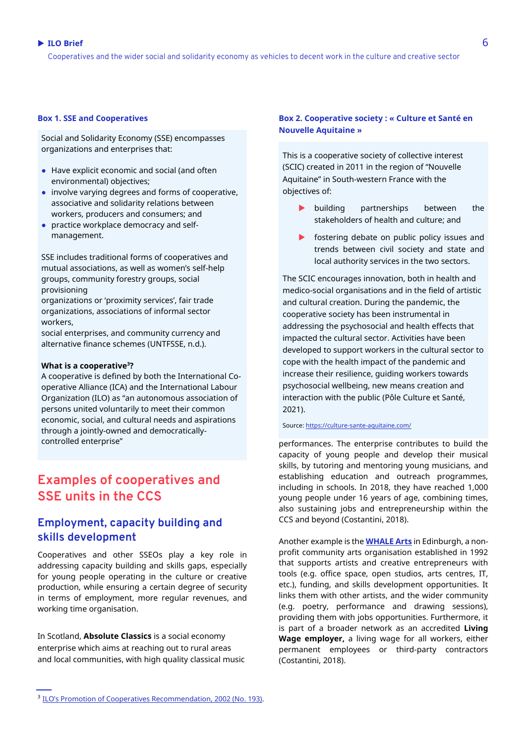## ■ ILO Brief 6 to the set of the set of the set of the set of the set of the set of the set of the set of the set of the set of the set of the set of the set of the set of the set of the set of the set of the set of the se

Cooperatives and the wider social and solidarity economy as vehicles to decent work in the culture and creative sector

#### **Box 1. SSE and Cooperatives**

Social and Solidarity Economy (SSE) encompasses organizations and enterprises that:

- Have explicit economic and social (and often environmental) objectives;
- involve varying degrees and forms of cooperative, associative and solidarity relations between workers, producers and consumers; and
- practice workplace democracy and selfmanagement.

SSE includes traditional forms of cooperatives and mutual associations, as well as women's self-help groups, community forestry groups, social provisioning

organizations or 'proximity services', fair trade organizations, associations of informal sector workers,

social enterprises, and community currency and alternative finance schemes (UNTFSSE, n.d.).

#### **What is a cooperative<sup>3</sup>?**

A cooperative is defined by both the International Cooperative Alliance (ICA) and the International Labour Organization (ILO) as "an autonomous association of persons united voluntarily to meet their common economic, social, and cultural needs and aspirations through a jointly-owned and democraticallycontrolled enterprise"

# **Examples of cooperatives and SSE units in the CCS**

## **Employment, capacity building and skills development**

Cooperatives and other SSEOs play a key role in addressing capacity building and skills gaps, especially for young people operating in the culture or creative production, while ensuring a certain degree of security in terms of employment, more regular revenues, and working time organisation.

In Scotland, **[Absolute Classics](https://absoluteclassics.co.uk/)** is a social economy enterprise which aims at reaching out to rural areas and local communities, with high quality classical music

### **Box 2. Cooperative society : « Culture et Santé en Nouvelle Aquitaine »**

This is a cooperative society of collective interest (SCIC) created in 2011 in the region of "Nouvelle Aquitaine" in South-western France with the objectives of:

- **building** partnerships between the stakeholders of health and culture; and
- **Fostering debate on public policy issues and** trends between civil society and state and local authority services in the two sectors.

The SCIC encourages innovation, both in health and medico-social organisations and in the field of artistic and cultural creation. During the pandemic, the cooperative society has been instrumental in addressing the psychosocial and health effects that impacted the cultural sector. Activities have been developed to support workers in the cultural sector to cope with the health impact of the pandemic and increase their resilience, guiding workers towards psychosocial wellbeing, new means creation and interaction with the public (Pôle Culture et Santé, 2021).

#### Source[: https://culture-sante-aquitaine.com/](https://culture-sante-aquitaine.com/)

performances. The enterprise contributes to build the capacity of young people and develop their musical skills, by tutoring and mentoring young musicians, and establishing education and outreach programmes, including in schools. In 2018, they have reached 1,000 young people under 16 years of age, combining times, also sustaining jobs and entrepreneurship within the CCS and beyond (Costantini, 2018).

Another example is the **[WHALE Arts](https://www.whalearts.co.uk/)** in Edinburgh, a nonprofit community arts organisation established in 1992 that supports artists and creative entrepreneurs with tools (e.g. office space, open studios, arts centres, IT, etc.), funding, and skills development opportunities. It links them with other artists, and the wider community (e.g. poetry, performance and drawing sessions), providing them with jobs opportunities. Furthermore, it is part of a broader network as an accredited **Living Wage employer,** a living wage for all workers, either permanent employees or third-party contractors (Costantini, 2018).

<sup>&</sup>lt;sup>3</sup> [ILO's Promotion of Cooperatives Rec](https://www.ilo.org/dyn/normlex/en/f?p=NORMLEXPUB:12100:0::NO::P12100_ILO_CODE:R193)ommendation, 2002 (No. 193).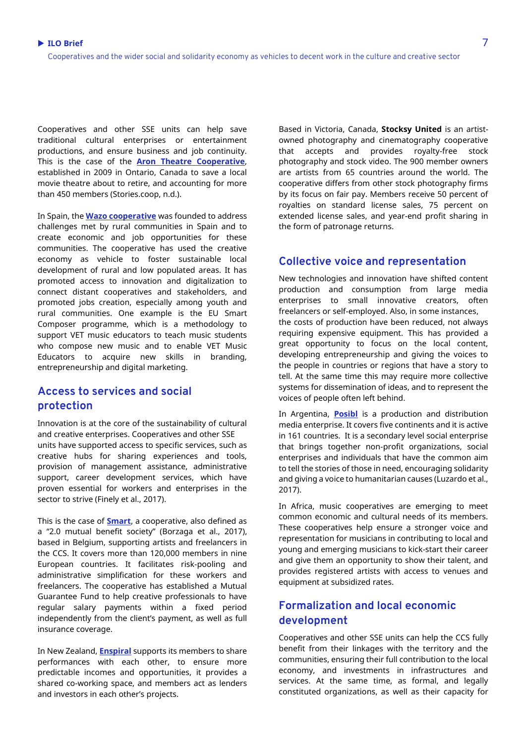Cooperatives and other SSE units can help save traditional cultural enterprises or entertainment productions, and ensure business and job continuity. This is the case of the **[Aron Theatre Cooperative](https://arontheatre.com/)**, established in 2009 in Ontario, Canada to save a local movie theatre about to retire, and accounting for more than 450 members (Stories.coop, n.d.).

In Spain, the **[Wazo cooperative](https://wazo.coop/)** was founded to address challenges met by rural communities in Spain and to create economic and job opportunities for these communities. The cooperative has used the creative economy as vehicle to foster sustainable local development of rural and low populated areas. It has promoted access to innovation and digitalization to connect distant cooperatives and stakeholders, and promoted jobs creation, especially among youth and rural communities. One example is the EU Smart Composer programme, which is a methodology to support VET music educators to teach music students who compose new music and to enable VET Music Educators to acquire new skills in branding, entrepreneurship and digital marketing.

## **Access to services and social protection**

Innovation is at the core of the sustainability of cultural and creative enterprises. Cooperatives and other SSE units have supported access to specific services, such as creative hubs for sharing experiences and tools, provision of management assistance, administrative support, career development services, which have proven essential for workers and enterprises in the sector to strive (Finely et al., 2017).

This is the case of **[Smart](https://www.smartfr.fr/)**, a cooperative, also defined as a "2.0 mutual benefit society" (Borzaga et al., 2017), based in Belgium, supporting artists and freelancers in the CCS. It covers more than 120,000 members in nine European countries. It facilitates risk-pooling and administrative simplification for these workers and freelancers. The cooperative has established a Mutual Guarantee Fund to help creative professionals to have regular salary payments within a fixed period independently from the client's payment, as well as full insurance coverage.

In New Zealand, **[Enspiral](https://www.enspiral.com/)** supports its members to share performances with each other, to ensure more predictable incomes and opportunities, it provides a shared co-working space, and members act as lenders and investors in each other's projects.

Based in Victoria, Canada, **Stocksy United** is an artistowned photography and cinematography cooperative that accepts and provides royalty-free stock photography and stock video. The 900 member owners are artists from 65 countries around the world. The cooperative differs from other stock photography firms by its focus on fair pay. Members receive 50 percent of royalties on standard license sales, 75 percent on extended license sales, and year-end profit sharing in the form of patronage returns.

## **Collective voice and representation**

New technologies and innovation have shifted content production and consumption from large media enterprises to small innovative creators, often freelancers or self-employed. Also, in some instances, the costs of production have been reduced, not always requiring expensive equipment. This has provided a great opportunity to focus on the local content, developing entrepreneurship and giving the voices to the people in countries or regions that have a story to tell. At the same time this may require more collective systems for dissemination of ideas, and to represent the voices of people often left behind.

In Argentina, **[Posibl](https://www.posibl.com/en)** is a production and distribution media enterprise. It covers five continents and it is active in 161 countries. It is a secondary level social enterprise that brings together non-profit organizations, social enterprises and individuals that have the common aim to tell the stories of those in need, encouraging solidarity and giving a voice to humanitarian causes (Luzardo et al., 2017).

In Africa, music cooperatives are emerging to meet common economic and cultural needs of its members. These cooperatives help ensure a stronger voice and representation for musicians in contributing to local and young and emerging musicians to kick-start their career and give them an opportunity to show their talent, and provides registered artists with access to venues and equipment at subsidized rates.

## **Formalization and local economic development**

Cooperatives and other SSE units can help the CCS fully benefit from their linkages with the territory and the communities, ensuring their full contribution to the local economy, and investments in infrastructures and services. At the same time, as formal, and legally constituted organizations, as well as their capacity for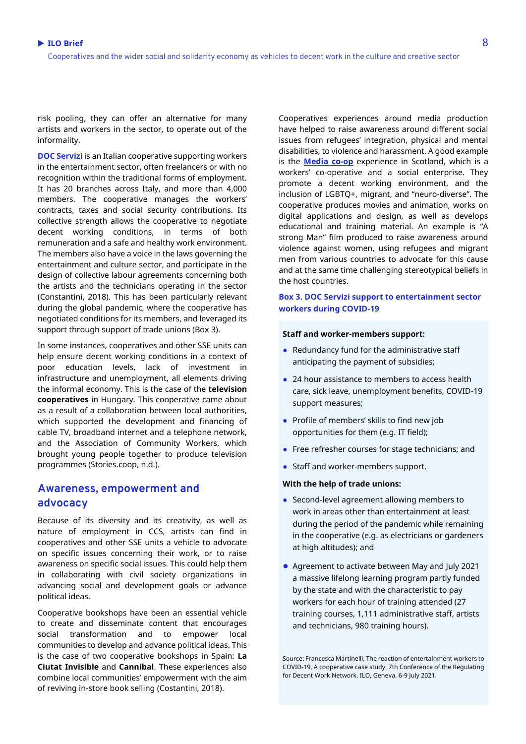risk pooling, they can offer an alternative for many artists and workers in the sector, to operate out of the informality.

**[DOC Servizi](https://docservizi.retedoc.net/en/)** is an Italian cooperative supporting workers in the entertainment sector, often freelancers or with no recognition within the traditional forms of employment. It has 20 branches across Italy, and more than 4,000 members. The cooperative manages the workers' contracts, taxes and social security contributions. Its collective strength allows the cooperative to negotiate decent working conditions, in terms of both remuneration and a safe and healthy work environment. The members also have a voice in the laws governing the entertainment and culture sector, and participate in the design of collective labour agreements concerning both the artists and the technicians operating in the sector (Constantini, 2018). This has been particularly relevant during the global pandemic, where the cooperative has negotiated conditions for its members, and leveraged its support through support of trade unions (Box 3).

In some instances, cooperatives and other SSE units can help ensure decent working conditions in a context of poor education levels, lack of investment in infrastructure and unemployment, all elements driving the informal economy. This is the case of the **television cooperatives** in Hungary. This cooperative came about as a result of a collaboration between local authorities, which supported the development and financing of cable TV, broadband internet and a telephone network, and the Association of Community Workers, which brought young people together to produce television programmes (Stories.coop, n.d.).

## **Awareness, empowerment and advocacy**

Because of its diversity and its creativity, as well as nature of employment in CCS, artists can find in cooperatives and other SSE units a vehicle to advocate on specific issues concerning their work, or to raise awareness on specific social issues. This could help them in collaborating with civil society organizations in advancing social and development goals or advance political ideas.

Cooperative bookshops have been an essential vehicle to create and disseminate content that encourages social transformation and to empower local communities to develop and advance political ideas. This is the case of two cooperative bookshops in Spain: **La Ciutat Invisible** and **Cannibal**. These experiences also combine local communities' empowerment with the aim of reviving in-store book selling (Costantini, 2018).

Cooperatives experiences around media production have helped to raise awareness around different social issues from refugees' integration, physical and mental disabilities, to violence and harassment. A good example is the **[Media](https://mediaco-op.net/) co-op** experience in Scotland, which is a workers' co-operative and a social enterprise. They promote a decent working environment, and the inclusion of LGBTQ+, migrant, and "neuro-diverse". The cooperative produces movies and animation, works on digital applications and design, as well as develops educational and training material. An example is "A strong Man" film produced to raise awareness around violence against women, using refugees and migrant men from various countries to advocate for this cause and at the same time challenging stereotypical beliefs in the host countries.

## **Box 3. DOC Servizi support to entertainment sector workers during COVID-19**

#### **Staff and worker-members support:**

- Redundancy fund for the administrative staff anticipating the payment of subsidies;
- 24 hour assistance to members to access health care, sick leave, unemployment benefits, COVID-19 support measures;
- Profile of members' skills to find new job opportunities for them (e.g. IT field);
- Free refresher courses for stage technicians; and
- Staff and worker-members support.

#### **With the help of trade unions:**

- Second-level agreement allowing members to work in areas other than entertainment at least during the period of the pandemic while remaining in the cooperative (e.g. as electricians or gardeners at high altitudes); and
- Agreement to activate between May and July 2021 a massive lifelong learning program partly funded by the state and with the characteristic to pay workers for each hour of training attended (27 training courses, 1,111 administrative staff, artists and technicians, 980 training hours).

Source: Francesca Martinelli, The reaction of entertainment workers to COVID-19, A cooperative case study, 7th Conference of the Regulating for Decent Work Network, ILO, Geneva, 6-9 July 2021.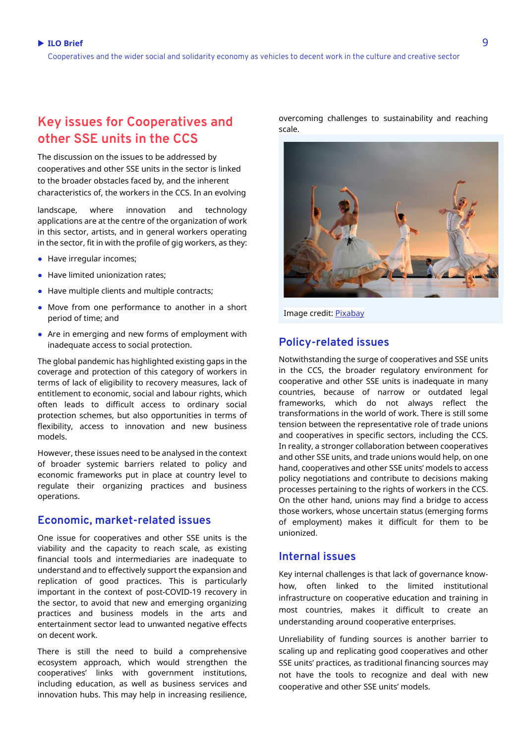# **Key issues for Cooperatives and other SSE units in the CCS**

The discussion on the issues to be addressed by cooperatives and other SSE units in the sector is linked to the broader obstacles faced by, and the inherent characteristics of, the workers in the CCS. In an evolving

landscape, where innovation and technology applications are at the centre of the organization of work in this sector, artists, and in general workers operating in the sector, fit in with the profile of gig workers, as they:

- Have irregular incomes;
- Have limited unionization rates:
- Have multiple clients and multiple contracts;
- Move from one performance to another in a short period of time; and
- Are in emerging and new forms of employment with inadequate access to social protection.

The global pandemic has highlighted existing gaps in the coverage and protection of this category of workers in terms of lack of eligibility to recovery measures, lack of entitlement to economic, social and labour rights, which often leads to difficult access to ordinary social protection schemes, but also opportunities in terms of flexibility, access to innovation and new business models.

However, these issues need to be analysed in the context of broader systemic barriers related to policy and economic frameworks put in place at country level to regulate their organizing practices and business operations.

## **Economic, market-related issues**

One issue for cooperatives and other SSE units is the viability and the capacity to reach scale, as existing financial tools and intermediaries are inadequate to understand and to effectively support the expansion and replication of good practices. This is particularly important in the context of post-COVID-19 recovery in the sector, to avoid that new and emerging organizing practices and business models in the arts and entertainment sector lead to unwanted negative effects on decent work.

There is still the need to build a comprehensive ecosystem approach, which would strengthen the cooperatives' links with government institutions, including education, as well as business services and innovation hubs. This may help in increasing resilience,

overcoming challenges to sustainability and reaching scale.



Image credit[: Pixabay](https://eur01.safelinks.protection.outlook.com/?url=https%3A%2F%2Fpixabay.com%2F&data=04%7C01%7Cbvumbe%40ilo.org%7C328165b0ac1d4e4bb39e08d98d95058d%7Cd49b07ca23024e7cb2cbe12127852850%7C0%7C0%7C637696493749492191%7CUnknown%7CTWFpbGZsb3d8eyJWIjoiMC4wLjAwMDAiLCJQIjoiV2luMzIiLCJBTiI6Ik1haWwiLCJXVCI6Mn0%3D%7C1000&sdata=scviZkoAnqg9LF4qW6EtJ4ffYfdgofXuCqck2JtFRSM%3D&reserved=0)

## **Policy-related issues**

Notwithstanding the surge of cooperatives and SSE units in the CCS, the broader regulatory environment for cooperative and other SSE units is inadequate in many countries, because of narrow or outdated legal frameworks, which do not always reflect the transformations in the world of work. There is still some tension between the representative role of trade unions and cooperatives in specific sectors, including the CCS. In reality, a stronger collaboration between cooperatives and other SSE units, and trade unions would help, on one hand, cooperatives and other SSE units' models to access policy negotiations and contribute to decisions making processes pertaining to the rights of workers in the CCS. On the other hand, unions may find a bridge to access those workers, whose uncertain status (emerging forms of employment) makes it difficult for them to be unionized.

## **Internal issues**

Key internal challenges is that lack of governance knowhow, often linked to the limited institutional infrastructure on cooperative education and training in most countries, makes it difficult to create an understanding around cooperative enterprises.

Unreliability of funding sources is another barrier to scaling up and replicating good cooperatives and other SSE units' practices, as traditional financing sources may not have the tools to recognize and deal with new cooperative and other SSE units' models.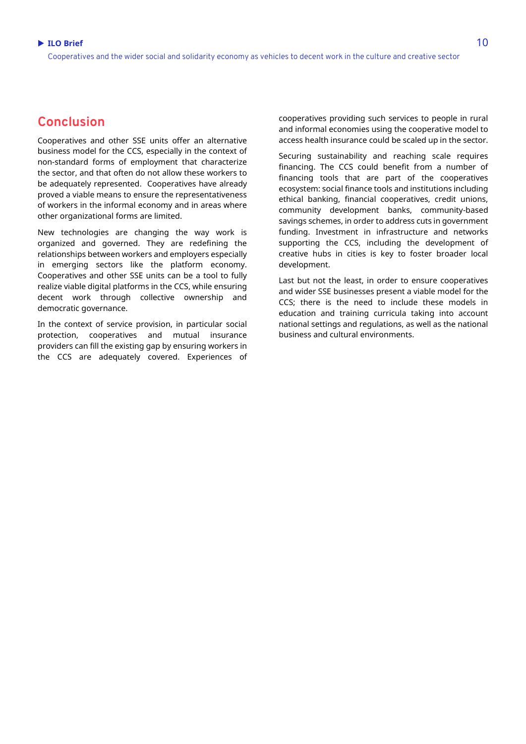## **Conclusion**

Cooperatives and other SSE units offer an alternative business model for the CCS, especially in the context of non-standard forms of employment that characterize the sector, and that often do not allow these workers to be adequately represented. Cooperatives have already proved a viable means to ensure the representativeness of workers in the informal economy and in areas where other organizational forms are limited.

New technologies are changing the way work is organized and governed. They are redefining the relationships between workers and employers especially in emerging sectors like the platform economy. Cooperatives and other SSE units can be a tool to fully realize viable digital platforms in the CCS, while ensuring decent work through collective ownership and democratic governance.

In the context of service provision, in particular social protection, cooperatives and mutual insurance providers can fill the existing gap by ensuring workers in the CCS are adequately covered. Experiences of

cooperatives providing such services to people in rural and informal economies using the cooperative model to access health insurance could be scaled up in the sector.

Securing sustainability and reaching scale requires financing. The CCS could benefit from a number of financing tools that are part of the cooperatives ecosystem: social finance tools and institutions including ethical banking, financial cooperatives, credit unions, community development banks, community-based savings schemes, in order to address cuts in government funding. Investment in infrastructure and networks supporting the CCS, including the development of creative hubs in cities is key to foster broader local development.

Last but not the least, in order to ensure cooperatives and wider SSE businesses present a viable model for the CCS; there is the need to include these models in education and training curricula taking into account national settings and regulations, as well as the national business and cultural environments.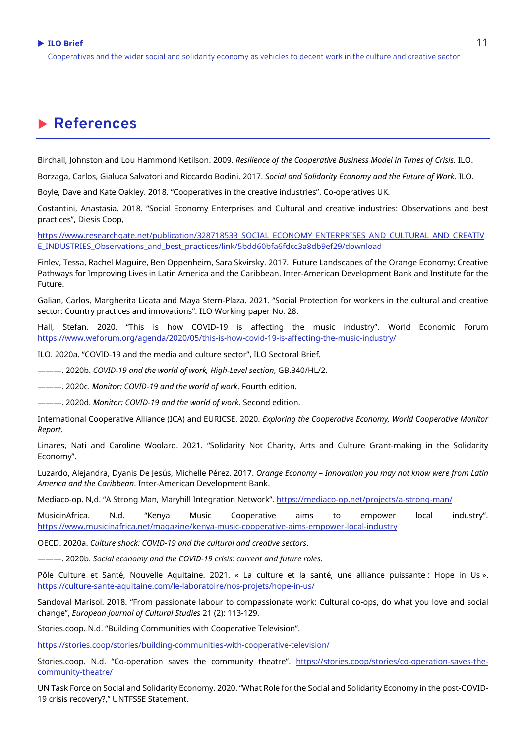## **ILO Brief** 11

Cooperatives and the wider social and solidarity economy as vehicles to decent work in the culture and creative sector

# **References**

Birchall, Johnston and Lou Hammond Ketilson. 2009. *Resilience of the Cooperative Business Model in Times of Crisis.* ILO.

Borzaga, Carlos, Gialuca Salvatori and Riccardo Bodini. 2017. *Social and Solidarity Economy and the Future of Work*. ILO.

Boyle, Dave and Kate Oakley. 2018. "Cooperatives in the creative industries". Co-operatives UK.

Costantini, Anastasia. 2018. "Social Economy Enterprises and Cultural and creative industries: Observations and best practices", Diesis Coop,

[https://www.researchgate.net/publication/328718533\\_SOCIAL\\_ECONOMY\\_ENTERPRISES\\_AND\\_CULTURAL\\_AND\\_CREATIV](https://www.researchgate.net/publication/328718533_SOCIAL_ECONOMY_ENTERPRISES_AND_CULTURAL_AND_CREATIVE_INDUSTRIES_Observations_and_best_practices/link/5bdd60bfa6fdcc3a8db9ef29/download) [E\\_INDUSTRIES\\_Observations\\_and\\_best\\_practices/link/5bdd60bfa6fdcc3a8db9ef29/download](https://www.researchgate.net/publication/328718533_SOCIAL_ECONOMY_ENTERPRISES_AND_CULTURAL_AND_CREATIVE_INDUSTRIES_Observations_and_best_practices/link/5bdd60bfa6fdcc3a8db9ef29/download)

Finlev, Tessa, Rachel Maguire, Ben Oppenheim, Sara Skvirsky. 2017. Future Landscapes of the Orange Economy: Creative Pathways for Improving Lives in Latin America and the Caribbean. Inter-American Development Bank and Institute for the Future.

Galian, Carlos, Margherita Licata and Maya Stern-Plaza. 2021. "Social Protection for workers in the cultural and creative sector: Country practices and innovations". ILO Working paper No. 28.

Hall, Stefan. 2020. "This is how COVID-19 is affecting the music industry". World Economic Forum <https://www.weforum.org/agenda/2020/05/this-is-how-covid-19-is-affecting-the-music-industry/>

ILO. 2020a. "COVID-19 and the media and culture sector", ILO Sectoral Brief.

———. 2020b. *COVID-19 and the world of work, High-Level section*, GB.340/HL/2.

———. 2020c. *Monitor: COVID-19 and the world of work*. Fourth edition.

———. 2020d. *Monitor: COVID-19 and the world of work*. Second edition.

International Cooperative Alliance (ICA) and EURICSE. 2020. *Exploring the Cooperative Economy, World Cooperative Monitor Report*.

Linares, Nati and Caroline Woolard. 2021. "Solidarity Not Charity, Arts and Culture Grant-making in the Solidarity Economy".

Luzardo, Alejandra, Dyanis De Jesús, Michelle Pérez. 2017. *Orange Economy – Innovation you may not know were from Latin America and the Caribbean*. Inter-American Development Bank.

Mediaco-op. N,d. "A Strong Man, Maryhill Integration Network". <https://mediaco-op.net/projects/a-strong-man/>

MusicinAfrica. N.d. "Kenya Music Cooperative aims to empower local industry". <https://www.musicinafrica.net/magazine/kenya-music-cooperative-aims-empower-local-industry>

OECD. 2020a. *Culture shock: COVID-19 and the cultural and creative sectors*.

———. 2020b. *Social economy and the COVID-19 crisis: current and future roles*.

Pôle Culture et Santé, Nouvelle Aquitaine. 2021. « La culture et la santé, une alliance puissante : Hope in Us ». <https://culture-sante-aquitaine.com/le-laboratoire/nos-projets/hope-in-us/>

Sandoval Marisol. 2018. "From passionate labour to compassionate work: Cultural co-ops, do what you love and social change", *European Journal of Cultural Studies* 21 (2): 113-129.

Stories.coop. N.d. "Building Communities with Cooperative Television".

<https://stories.coop/stories/building-communities-with-cooperative-television/>

Stories.coop. N.d. "Co-operation saves the community theatre". [https://stories.coop/stories/co-operation-saves-the](https://stories.coop/stories/co-operation-saves-the-community-theatre/)[community-theatre/](https://stories.coop/stories/co-operation-saves-the-community-theatre/)

UN Task Force on Social and Solidarity Economy. 2020. "What Role for the Social and Solidarity Economy in the post-COVID-19 crisis recovery?," UNTFSSE Statement.